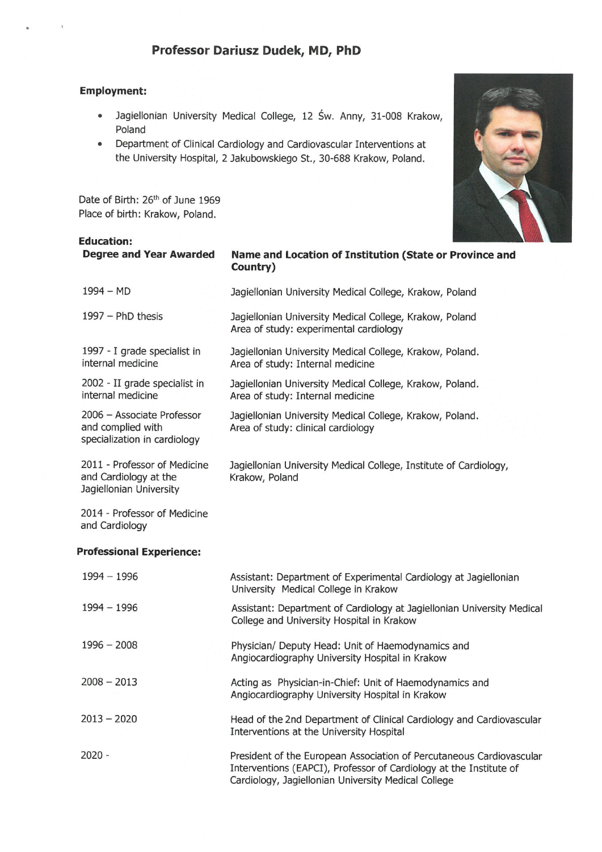# Professor Dariusz Dudek, MD, PhD

#### **Employment:**

- $\ddot{\phantom{a}}$ Jagiellonian University Medical College, 12 Św. Anny, 31-008 Krakow, Poland
- Department of Clinical Cardiology and Cardiovascular Interventions at the University Hospital, 2 Jakubowskiego St., 30-688 Krakow, Poland.

Date of Birth: 26<sup>th</sup> of June 1969 Place of birth: Krakow, Poland.



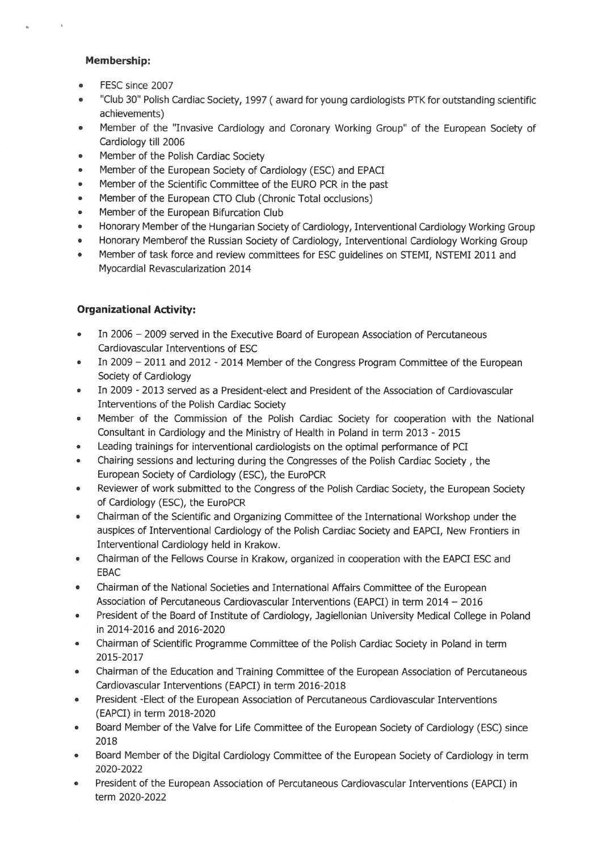#### **Membership:**

- FESC since 2007
- "Club 30" Polish Cardiac Society, 1997 (award for young cardiologists PTK for outstanding scientific achievements)
- Member of the "Invasive Cardiology and Coronary Working Group" of the European Society of  $\bullet$ Cardiology till 2006
- Member of the Polish Cardiac Society  $\bullet$
- Member of the European Society of Cardiology (ESC) and EPACI
- Member of the Scientific Committee of the EURO PCR in the past
- Member of the European CTO Club (Chronic Total occlusions)
- Member of the European Bifurcation Club
- Honorary Member of the Hungarian Society of Cardiology, Interventional Cardiology Working Group
- Honorary Memberof the Russian Society of Cardiology, Interventional Cardiology Working Group
- Member of task force and review committees for ESC quidelines on STEMI, NSTEMI 2011 and Myocardial Revascularization 2014

### **Organizational Activity:**

- In 2006 2009 served in the Executive Board of European Association of Percutaneous Cardiovascular Interventions of ESC
- In 2009 2011 and 2012 2014 Member of the Congress Program Committee of the European  $\bullet$ Society of Cardiology
- In 2009 2013 served as a President-elect and President of the Association of Cardiovascular Interventions of the Polish Cardiac Society
- Member of the Commission of the Polish Cardiac Society for cooperation with the National Consultant in Cardiology and the Ministry of Health in Poland in term 2013 - 2015
- Leading trainings for interventional cardiologists on the optimal performance of PCI
- Chairing sessions and lecturing during the Congresses of the Polish Cardiac Society, the European Society of Cardiology (ESC), the EuroPCR
- Reviewer of work submitted to the Congress of the Polish Cardiac Society, the European Society  $\bullet$ of Cardiology (ESC), the EuroPCR
- Chairman of the Scientific and Organizing Committee of the International Workshop under the  $\bullet$ auspices of Interventional Cardiology of the Polish Cardiac Society and EAPCI, New Frontiers in Interventional Cardiology held in Krakow.
- Chairman of the Fellows Course in Krakow, organized in cooperation with the EAPCI ESC and  $\bullet$ **EBAC**
- Chairman of the National Societies and International Affairs Committee of the European  $\bullet$ Association of Percutaneous Cardiovascular Interventions (EAPCI) in term 2014 - 2016
- President of the Board of Institute of Cardiology, Jagiellonian University Medical College in Poland  $\bullet$ in 2014-2016 and 2016-2020
- Chairman of Scientific Programme Committee of the Polish Cardiac Society in Poland in term  $\bullet$ 2015-2017
- Chairman of the Education and Training Committee of the European Association of Percutaneous  $\bullet$ Cardiovascular Interventions (EAPCI) in term 2016-2018
- President Elect of the European Association of Percutaneous Cardiovascular Interventions (EAPCI) in term 2018-2020
- Board Member of the Valve for Life Committee of the European Society of Cardiology (ESC) since  $\bullet$ 2018
- Board Member of the Digital Cardiology Committee of the European Society of Cardiology in term  $\bullet$ 2020-2022
- President of the European Association of Percutaneous Cardiovascular Interventions (EAPCI) in  $\bullet$ term 2020-2022